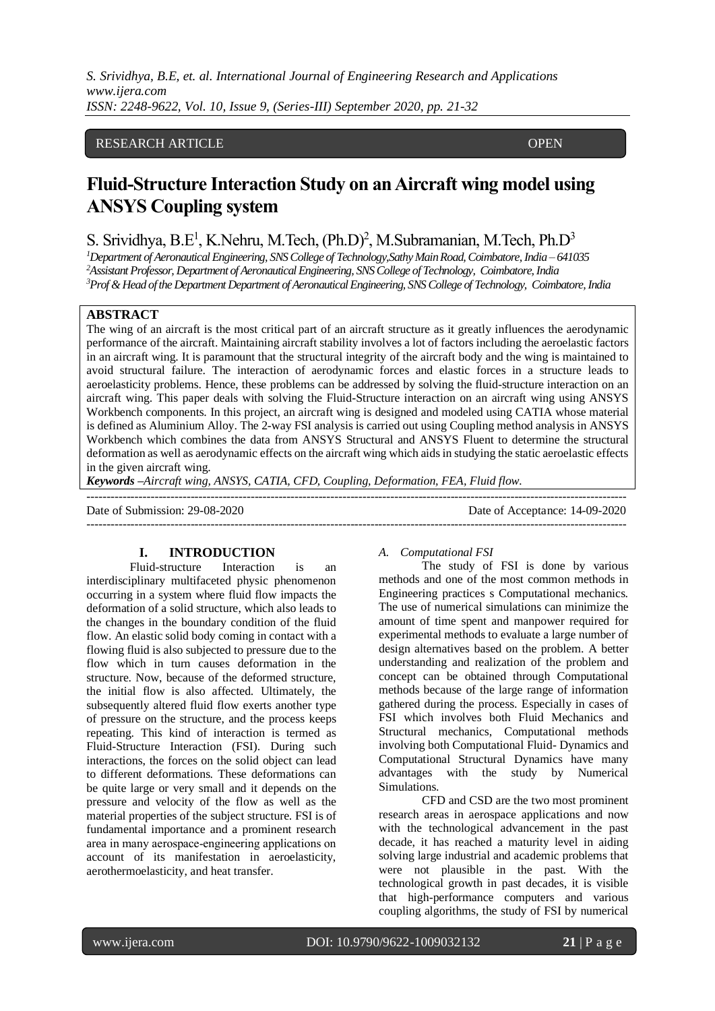## RESEARCH ARTICLE **CONTRACT ARTICLE**

# **Fluid-Structure Interaction Study on an Aircraft wing model using ANSYS Coupling system**

# S. Srividhya, B.E<sup>1</sup>, K.Nehru, M.Tech, (Ph.D)<sup>2</sup>, M.Subramanian, M.Tech, Ph.D<sup>3</sup>

*<sup>1</sup>Department of Aeronautical Engineering, SNS College of Technology,Sathy Main Road,Coimbatore,India – 641035 <sup>2</sup>Assistant Professor, Department of Aeronautical Engineering, SNS College of Technology, Coimbatore, India <sup>3</sup>Prof & Head of the Department Department of Aeronautical Engineering, SNS College of Technology, Coimbatore, India*

# **ABSTRACT**

ACCESS

The wing of an aircraft is the most critical part of an aircraft structure as it greatly influences the aerodynamic performance of the aircraft. Maintaining aircraft stability involves a lot of factors including the aeroelastic factors in an aircraft wing. It is paramount that the structural integrity of the aircraft body and the wing is maintained to avoid structural failure. The interaction of aerodynamic forces and elastic forces in a structure leads to aeroelasticity problems. Hence, these problems can be addressed by solving the fluid-structure interaction on an aircraft wing. This paper deals with solving the Fluid-Structure interaction on an aircraft wing using ANSYS Workbench components. In this project, an aircraft wing is designed and modeled using CATIA whose material is defined as Aluminium Alloy. The 2-way FSI analysis is carried out using Coupling method analysis in ANSYS Workbench which combines the data from ANSYS Structural and ANSYS Fluent to determine the structural deformation as well as aerodynamic effects on the aircraft wing which aidsin studying the static aeroelastic effects in the given aircraft wing.

---------------------------------------------------------------------------------------------------------------------------------------

*Keywords –Aircraft wing, ANSYS, CATIA, CFD, Coupling, Deformation, FEA, Fluid flow.*

Date of Submission: 29-08-2020 Date of Acceptance: 14-09-2020

---------------------------------------------------------------------------------------------------------------------------------------

#### **I. INTRODUCTION**

Fluid-structure Interaction is an interdisciplinary multifaceted physic phenomenon occurring in a system where fluid flow impacts the deformation of a solid structure, which also leads to the changes in the boundary condition of the fluid flow. An elastic solid body coming in contact with a flowing fluid is also subjected to pressure due to the flow which in turn causes deformation in the structure. Now, because of the deformed structure, the initial flow is also affected. Ultimately, the subsequently altered fluid flow exerts another type of pressure on the structure, and the process keeps repeating. This kind of interaction is termed as Fluid-Structure Interaction (FSI). During such interactions, the forces on the solid object can lead to different deformations. These deformations can be quite large or very small and it depends on the pressure and velocity of the flow as well as the material properties of the subject structure. FSI is of fundamental importance and a prominent research area in many aerospace‐engineering applications on account of its manifestation in aeroelasticity, aerothermoelasticity, and heat transfer.

#### *A. Computational FSI*

The study of FSI is done by various methods and one of the most common methods in Engineering practices s Computational mechanics. The use of numerical simulations can minimize the amount of time spent and manpower required for experimental methods to evaluate a large number of design alternatives based on the problem. A better understanding and realization of the problem and concept can be obtained through Computational methods because of the large range of information gathered during the process. Especially in cases of FSI which involves both Fluid Mechanics and Structural mechanics, Computational methods involving both Computational Fluid- Dynamics and Computational Structural Dynamics have many advantages with the study by Numerical Simulations.

CFD and CSD are the two most prominent research areas in aerospace applications and now with the technological advancement in the past decade, it has reached a maturity level in aiding solving large industrial and academic problems that were not plausible in the past. With the technological growth in past decades, it is visible that high-performance computers and various coupling algorithms, the study of FSI by numerical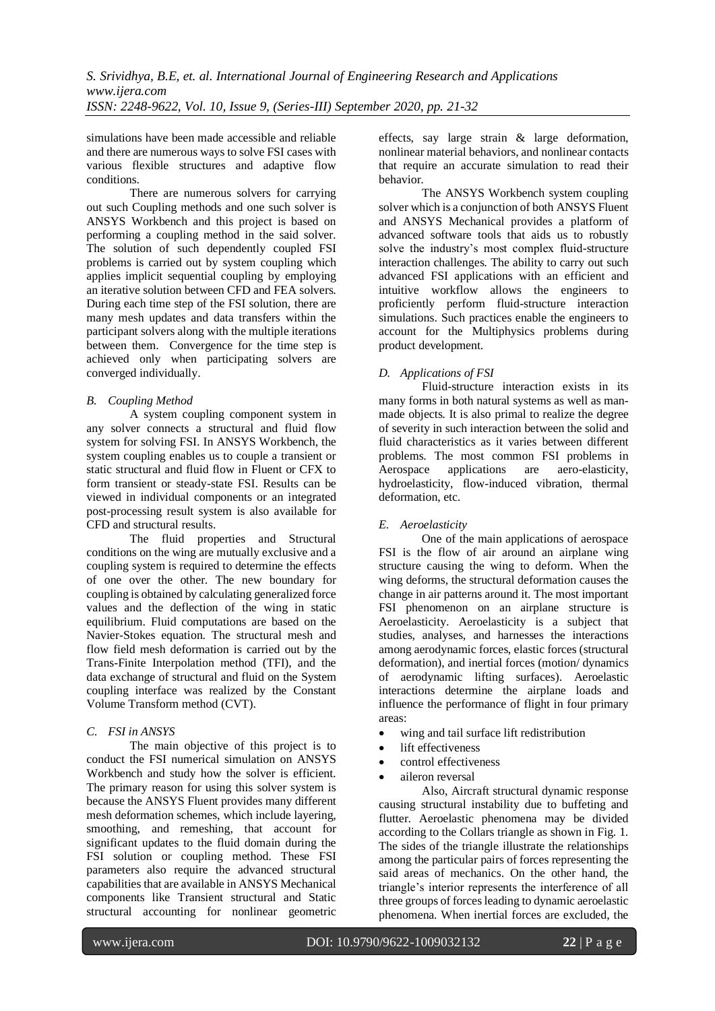simulations have been made accessible and reliable and there are numerous ways to solve FSI cases with various flexible structures and adaptive flow conditions.

There are numerous solvers for carrying out such Coupling methods and one such solver is ANSYS Workbench and this project is based on performing a coupling method in the said solver. The solution of such dependently coupled FSI problems is carried out by system coupling which applies implicit sequential coupling by employing an iterative solution between CFD and FEA solvers. During each time step of the FSI solution, there are many mesh updates and data transfers within the participant solvers along with the multiple iterations between them. Convergence for the time step is achieved only when participating solvers are converged individually.

# *B. Coupling Method*

A system coupling component system in any solver connects a structural and fluid flow system for solving FSI. In ANSYS Workbench, the system coupling enables us to couple a transient or static structural and fluid flow in Fluent or CFX to form transient or steady-state FSI. Results can be viewed in individual components or an integrated post-processing result system is also available for CFD and structural results.

The fluid properties and Structural conditions on the wing are mutually exclusive and a coupling system is required to determine the effects of one over the other. The new boundary for coupling is obtained by calculating generalized force values and the deflection of the wing in static equilibrium. Fluid computations are based on the Navier-Stokes equation. The structural mesh and flow field mesh deformation is carried out by the Trans-Finite Interpolation method (TFI), and the data exchange of structural and fluid on the System coupling interface was realized by the Constant Volume Transform method (CVT).

## *C. FSI in ANSYS*

The main objective of this project is to conduct the FSI numerical simulation on ANSYS Workbench and study how the solver is efficient. The primary reason for using this solver system is because the ANSYS Fluent provides many different mesh deformation schemes, which include layering, smoothing, and remeshing, that account for significant updates to the fluid domain during the FSI solution or coupling method. These FSI parameters also require the advanced structural capabilities that are available in ANSYS Mechanical components like Transient structural and Static structural accounting for nonlinear geometric effects, say large strain & large deformation, nonlinear material behaviors, and nonlinear contacts that require an accurate simulation to read their behavior.

The ANSYS Workbench system coupling solver which is a conjunction of both ANSYS Fluent and ANSYS Mechanical provides a platform of advanced software tools that aids us to robustly solve the industry's most complex fluid-structure interaction challenges. The ability to carry out such advanced FSI applications with an efficient and intuitive workflow allows the engineers to proficiently perform fluid-structure interaction simulations. Such practices enable the engineers to account for the Multiphysics problems during product development.

# *D. Applications of FSI*

Fluid-structure interaction exists in its many forms in both natural systems as well as manmade objects. It is also primal to realize the degree of severity in such interaction between the solid and fluid characteristics as it varies between different problems. The most common FSI problems in Aerospace applications are aero-elasticity, hydroelasticity, flow-induced vibration, thermal deformation, etc.

# *E. Aeroelasticity*

One of the main applications of aerospace FSI is the flow of air around an airplane wing structure causing the wing to deform. When the wing deforms, the structural deformation causes the change in air patterns around it. The most important FSI phenomenon on an airplane structure is Aeroelasticity. Aeroelasticity is a subject that studies, analyses, and harnesses the interactions among aerodynamic forces, elastic forces (structural deformation), and inertial forces (motion/ dynamics of aerodynamic lifting surfaces). Aeroelastic interactions determine the airplane loads and influence the performance of flight in four primary areas:

- wing and tail surface lift redistribution
- lift effectiveness
- control effectiveness
- aileron reversal

Also, Aircraft structural dynamic response causing structural instability due to buffeting and flutter. Aeroelastic phenomena may be divided according to the Collars triangle as shown in Fig. 1. The sides of the triangle illustrate the relationships among the particular pairs of forces representing the said areas of mechanics. On the other hand, the triangle's interior represents the interference of all three groups of forces leading to dynamic aeroelastic phenomena. When inertial forces are excluded, the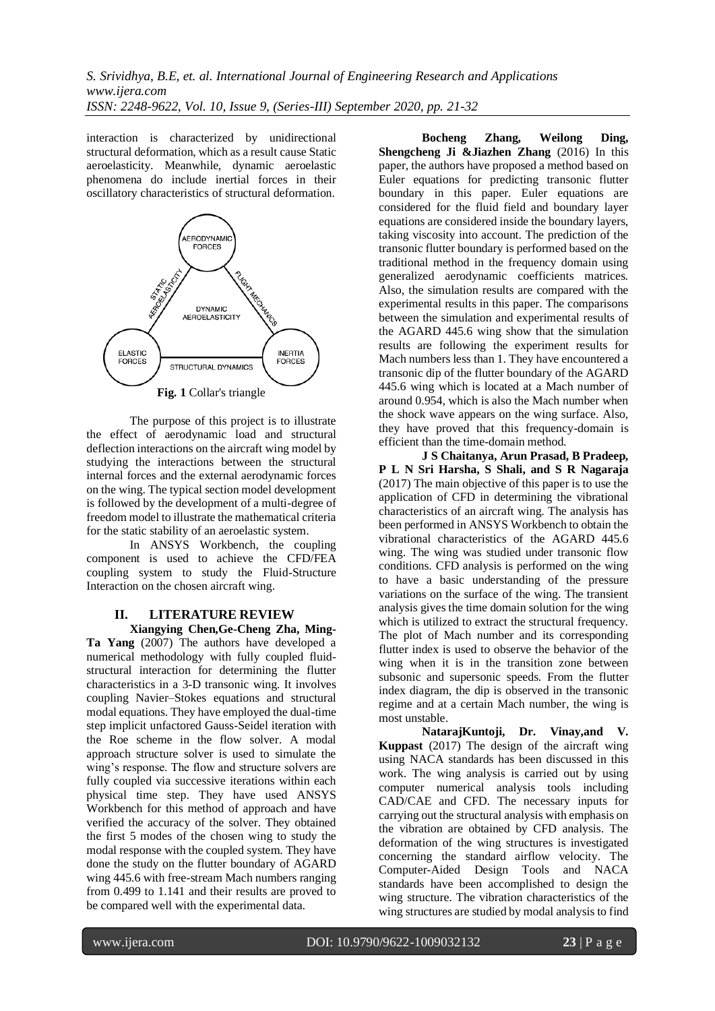interaction is characterized by unidirectional structural deformation, which as a result cause Static aeroelasticity. Meanwhile, dynamic aeroelastic phenomena do include inertial forces in their oscillatory characteristics of structural deformation.



The purpose of this project is to illustrate the effect of aerodynamic load and structural deflection interactions on the aircraft wing model by studying the interactions between the structural internal forces and the external aerodynamic forces on the wing. The typical section model development is followed by the development of a multi-degree of freedom model to illustrate the mathematical criteria for the static stability of an aeroelastic system.

In ANSYS Workbench, the coupling component is used to achieve the CFD/FEA coupling system to study the Fluid-Structure Interaction on the chosen aircraft wing.

## **II. LITERATURE REVIEW**

**Xiangying Chen,Ge-Cheng Zha, Ming-Ta Yang** (2007) The authors have developed a numerical methodology with fully coupled fluidstructural interaction for determining the flutter characteristics in a 3-D transonic wing. It involves coupling Navier–Stokes equations and structural modal equations. They have employed the dual-time step implicit unfactored Gauss-Seidel iteration with the Roe scheme in the flow solver. A modal approach structure solver is used to simulate the wing's response. The flow and structure solvers are fully coupled via successive iterations within each physical time step. They have used ANSYS Workbench for this method of approach and have verified the accuracy of the solver. They obtained the first 5 modes of the chosen wing to study the modal response with the coupled system. They have done the study on the flutter boundary of AGARD wing 445.6 with free-stream Mach numbers ranging from 0.499 to 1.141 and their results are proved to be compared well with the experimental data.

**Bocheng Zhang, Weilong Ding, Shengcheng Ji &Jiazhen Zhang** (2016) In this paper, the authors have proposed a method based on Euler equations for predicting transonic flutter boundary in this paper. Euler equations are considered for the fluid field and boundary layer equations are considered inside the boundary layers, taking viscosity into account. The prediction of the transonic flutter boundary is performed based on the traditional method in the frequency domain using generalized aerodynamic coefficients matrices. Also, the simulation results are compared with the experimental results in this paper. The comparisons between the simulation and experimental results of the AGARD 445.6 wing show that the simulation results are following the experiment results for Mach numbers less than 1. They have encountered a transonic dip of the flutter boundary of the AGARD 445.6 wing which is located at a Mach number of around 0.954, which is also the Mach number when the shock wave appears on the wing surface. Also, they have proved that this frequency-domain is efficient than the time-domain method.

**J S Chaitanya, Arun Prasad, B Pradeep, P L N Sri Harsha, S Shali, and S R Nagaraja** (2017) The main objective of this paper is to use the application of CFD in determining the vibrational characteristics of an aircraft wing. The analysis has been performed in ANSYS Workbench to obtain the vibrational characteristics of the AGARD 445.6 wing. The wing was studied under transonic flow conditions. CFD analysis is performed on the wing to have a basic understanding of the pressure variations on the surface of the wing. The transient analysis gives the time domain solution for the wing which is utilized to extract the structural frequency. The plot of Mach number and its corresponding flutter index is used to observe the behavior of the wing when it is in the transition zone between subsonic and supersonic speeds. From the flutter index diagram, the dip is observed in the transonic regime and at a certain Mach number, the wing is most unstable.

**NatarajKuntoji, Dr. Vinay,and V. Kuppast** (2017) The design of the aircraft wing using NACA standards has been discussed in this work. The wing analysis is carried out by using computer numerical analysis tools including CAD/CAE and CFD. The necessary inputs for carrying out the structural analysis with emphasis on the vibration are obtained by CFD analysis. The deformation of the wing structures is investigated concerning the standard airflow velocity. The Computer-Aided Design Tools and NACA standards have been accomplished to design the wing structure. The vibration characteristics of the wing structures are studied by modal analysis to find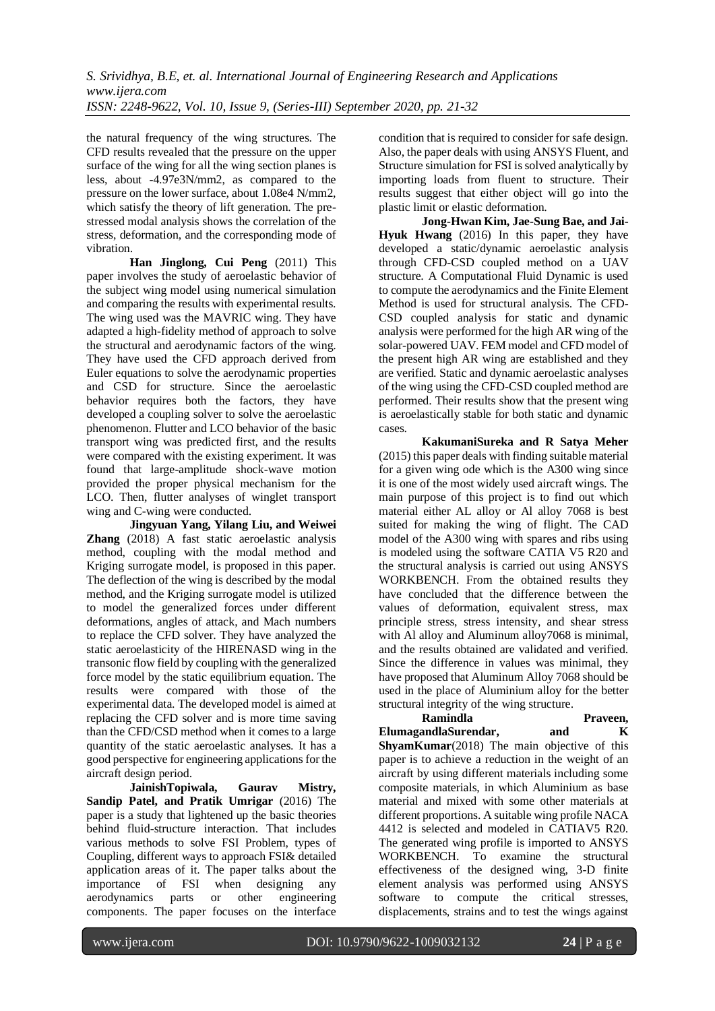the natural frequency of the wing structures. The CFD results revealed that the pressure on the upper surface of the wing for all the wing section planes is less, about -4.97e3N/mm2, as compared to the pressure on the lower surface, about 1.08e4 N/mm2, which satisfy the theory of lift generation. The prestressed modal analysis shows the correlation of the stress, deformation, and the corresponding mode of vibration.

**Han Jinglong, Cui Peng** (2011) This paper involves the study of aeroelastic behavior of the subject wing model using numerical simulation and comparing the results with experimental results. The wing used was the MAVRIC wing. They have adapted a high-fidelity method of approach to solve the structural and aerodynamic factors of the wing. They have used the CFD approach derived from Euler equations to solve the aerodynamic properties and CSD for structure. Since the aeroelastic behavior requires both the factors, they have developed a coupling solver to solve the aeroelastic phenomenon. Flutter and LCO behavior of the basic transport wing was predicted first, and the results were compared with the existing experiment. It was found that large-amplitude shock-wave motion provided the proper physical mechanism for the LCO. Then, flutter analyses of winglet transport wing and C-wing were conducted.

**Jingyuan Yang, Yilang Liu, and Weiwei Zhang** (2018) A fast static aeroelastic analysis method, coupling with the modal method and Kriging surrogate model, is proposed in this paper. The deflection of the wing is described by the modal method, and the Kriging surrogate model is utilized to model the generalized forces under different deformations, angles of attack, and Mach numbers to replace the CFD solver. They have analyzed the static aeroelasticity of the HIRENASD wing in the transonic flow field by coupling with the generalized force model by the static equilibrium equation. The results were compared with those of the experimental data. The developed model is aimed at replacing the CFD solver and is more time saving than the CFD/CSD method when it comes to a large quantity of the static aeroelastic analyses. It has a good perspective for engineering applications for the aircraft design period.

**JainishTopiwala, Gaurav Mistry, Sandip Patel, and Pratik Umrigar** (2016) The paper is a study that lightened up the basic theories behind fluid-structure interaction. That includes various methods to solve FSI Problem, types of Coupling, different ways to approach FSI& detailed application areas of it. The paper talks about the importance of FSI when designing any aerodynamics parts or other engineering components. The paper focuses on the interface

condition that is required to consider for safe design. Also, the paper deals with using ANSYS Fluent, and Structure simulation for FSI is solved analytically by importing loads from fluent to structure. Their results suggest that either object will go into the plastic limit or elastic deformation.

**Jong-Hwan Kim, Jae-Sung Bae, and Jai-Hyuk Hwang** (2016) In this paper, they have developed a static/dynamic aeroelastic analysis through CFD-CSD coupled method on a UAV structure. A Computational Fluid Dynamic is used to compute the aerodynamics and the Finite Element Method is used for structural analysis. The CFD-CSD coupled analysis for static and dynamic analysis were performed for the high AR wing of the solar-powered UAV. FEM model and CFD model of the present high AR wing are established and they are verified. Static and dynamic aeroelastic analyses of the wing using the CFD-CSD coupled method are performed. Their results show that the present wing is aeroelastically stable for both static and dynamic cases.

**KakumaniSureka and R Satya Meher** (2015) this paper deals with finding suitable material for a given wing ode which is the A300 wing since it is one of the most widely used aircraft wings. The main purpose of this project is to find out which material either AL alloy or Al alloy 7068 is best suited for making the wing of flight. The CAD model of the A300 wing with spares and ribs using is modeled using the software CATIA V5 R20 and the structural analysis is carried out using ANSYS WORKBENCH. From the obtained results they have concluded that the difference between the values of deformation, equivalent stress, max principle stress, stress intensity, and shear stress with Al alloy and Aluminum alloy7068 is minimal, and the results obtained are validated and verified. Since the difference in values was minimal, they have proposed that Aluminum Alloy 7068 should be used in the place of Aluminium alloy for the better structural integrity of the wing structure.

**ElumagandlaSurendar, and K** 

**Ramindla Praveen,** 

**ShyamKumar**(2018) The main objective of this paper is to achieve a reduction in the weight of an aircraft by using different materials including some composite materials, in which Aluminium as base material and mixed with some other materials at different proportions. A suitable wing profile NACA 4412 is selected and modeled in CATIAV5 R20. The generated wing profile is imported to ANSYS WORKBENCH. To examine the structural effectiveness of the designed wing, 3-D finite element analysis was performed using ANSYS software to compute the critical stresses, displacements, strains and to test the wings against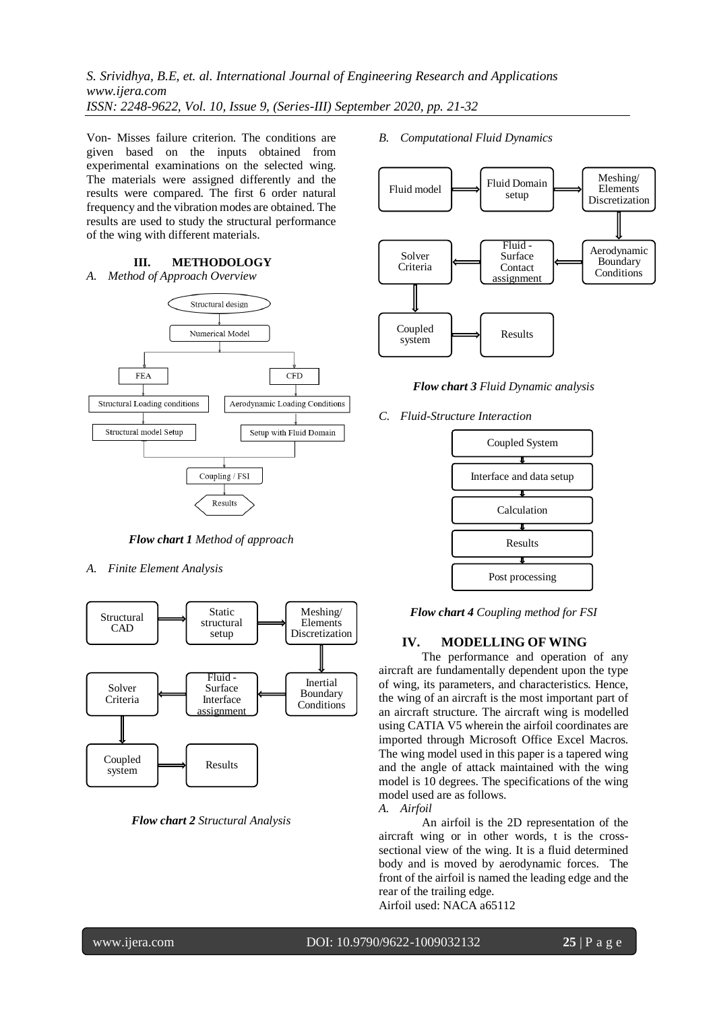Von- Misses failure criterion. The conditions are given based on the inputs obtained from experimental examinations on the selected wing. The materials were assigned differently and the results were compared. The first 6 order natural frequency and the vibration modes are obtained. The results are used to study the structural performance of the wing with different materials.

**III. METHODOLOGY**

*A. Method of Approach Overview*



*Flow chart 1 Method of approach*

*A. Finite Element Analysis*



*Flow chart 2 Structural Analysis*

*B. Computational Fluid Dynamics*



*Flow chart 3 Fluid Dynamic analysis*

*C. Fluid-Structure Interaction*



*Flow chart 4 Coupling method for FSI*

#### **IV. MODELLING OF WING**

The performance and operation of any aircraft are fundamentally dependent upon the type of wing, its parameters, and characteristics. Hence, the wing of an aircraft is the most important part of an aircraft structure. The aircraft wing is modelled using CATIA V5 wherein the airfoil coordinates are imported through Microsoft Office Excel Macros. The wing model used in this paper is a tapered wing and the angle of attack maintained with the wing model is 10 degrees. The specifications of the wing model used are as follows.

*A. Airfoil*

An airfoil is the 2D representation of the aircraft wing or in other words, t is the crosssectional view of the wing. It is a fluid determined body and is moved by aerodynamic forces. The front of the airfoil is named the leading edge and the rear of the trailing edge. Airfoil used: NACA a65112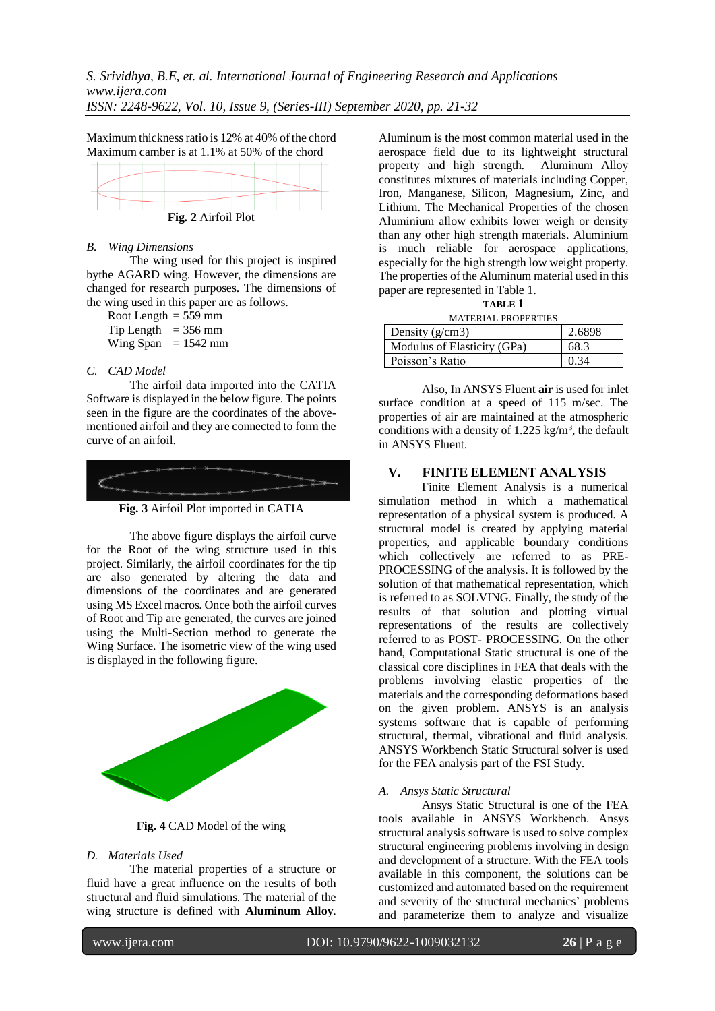Maximum thickness ratio is 12% at 40% of the chord Maximum camber is at 1.1% at 50% of the chord



### *B. Wing Dimensions*

The wing used for this project is inspired bythe AGARD wing. However, the dimensions are changed for research purposes. The dimensions of the wing used in this paper are as follows.

Root Length  $= 559$  mm Tip Length  $= 356$  mm Wing Span =  $1542$  mm

#### *C. CAD Model*

The airfoil data imported into the CATIA Software is displayed in the below figure. The points seen in the figure are the coordinates of the abovementioned airfoil and they are connected to form the curve of an airfoil.



**Fig. 3** Airfoil Plot imported in CATIA

The above figure displays the airfoil curve for the Root of the wing structure used in this project. Similarly, the airfoil coordinates for the tip are also generated by altering the data and dimensions of the coordinates and are generated using MS Excel macros. Once both the airfoil curves of Root and Tip are generated, the curves are joined using the Multi-Section method to generate the Wing Surface. The isometric view of the wing used is displayed in the following figure.



**Fig. 4** CAD Model of the wing

#### *D. Materials Used*

The material properties of a structure or fluid have a great influence on the results of both structural and fluid simulations. The material of the wing structure is defined with **Aluminum Alloy**.

Aluminum is the most common material used in the aerospace field due to its lightweight structural property and high strength. Aluminum Alloy constitutes mixtures of materials including Copper, Iron, Manganese, Silicon, Magnesium, Zinc, and Lithium. The Mechanical Properties of the chosen Aluminium allow exhibits lower weigh or density than any other high strength materials. Aluminium is much reliable for aerospace applications, especially for the high strength low weight property. The properties of the Aluminum material used in this paper are represented in Table 1.

| <b>TABLE 1</b>              |        |  |  |
|-----------------------------|--------|--|--|
| <b>MATERIAL PROPERTIES</b>  |        |  |  |
| Density $(g/cm3)$           | 2.6898 |  |  |
| Modulus of Elasticity (GPa) | 68.3   |  |  |
| Poisson's Ratio             | 0.34   |  |  |

Also, In ANSYS Fluent **air** is used for inlet surface condition at a speed of 115 m/sec. The properties of air are maintained at the atmospheric conditions with a density of  $1.225 \text{ kg/m}^3$ , the default in ANSYS Fluent.

### **V. FINITE ELEMENT ANALYSIS**

Finite Element Analysis is a numerical simulation method in which a mathematical representation of a physical system is produced. A structural model is created by applying material properties, and applicable boundary conditions which collectively are referred to as PRE-PROCESSING of the analysis. It is followed by the solution of that mathematical representation, which is referred to as SOLVING. Finally, the study of the results of that solution and plotting virtual representations of the results are collectively referred to as POST- PROCESSING. On the other hand, Computational Static structural is one of the classical core disciplines in FEA that deals with the problems involving elastic properties of the materials and the corresponding deformations based on the given problem. ANSYS is an analysis systems software that is capable of performing structural, thermal, vibrational and fluid analysis. ANSYS Workbench Static Structural solver is used for the FEA analysis part of the FSI Study.

#### *A. Ansys Static Structural*

Ansys Static Structural is one of the FEA tools available in ANSYS Workbench. Ansys structural analysis software is used to solve complex structural engineering problems involving in design and development of a structure. With the FEA tools available in this component, the solutions can be customized and automated based on the requirement and severity of the structural mechanics' problems and parameterize them to analyze and visualize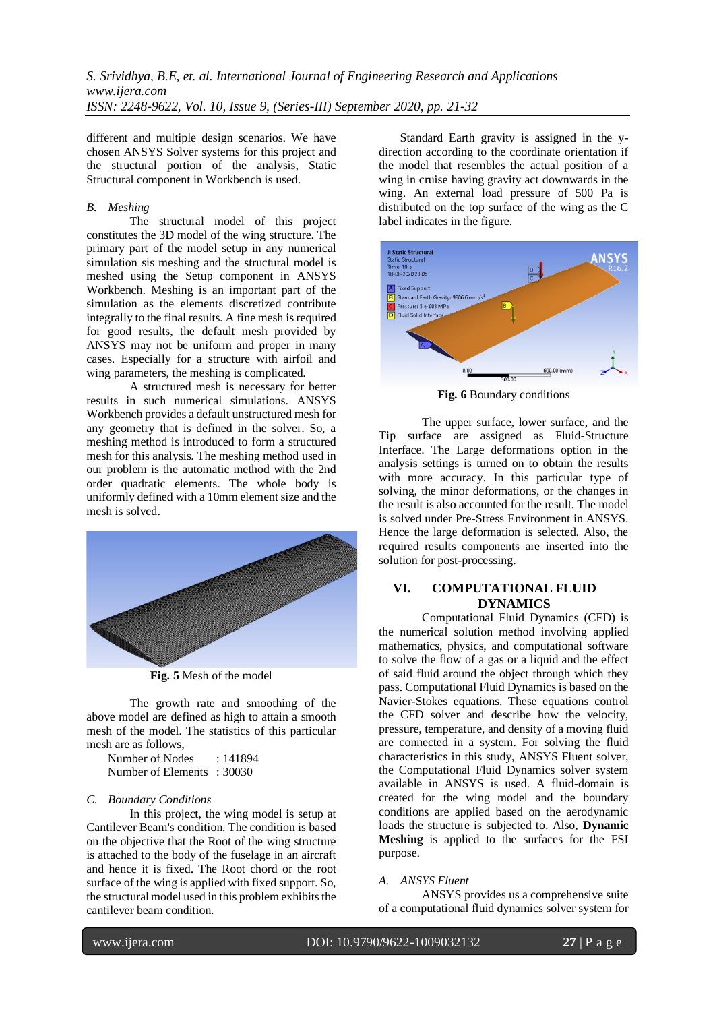different and multiple design scenarios. We have chosen ANSYS Solver systems for this project and the structural portion of the analysis, Static Structural component in Workbench is used.

## *B. Meshing*

The structural model of this project constitutes the 3D model of the wing structure. The primary part of the model setup in any numerical simulation sis meshing and the structural model is meshed using the Setup component in ANSYS Workbench. Meshing is an important part of the simulation as the elements discretized contribute integrally to the final results. A fine mesh is required for good results, the default mesh provided by ANSYS may not be uniform and proper in many cases. Especially for a structure with airfoil and wing parameters, the meshing is complicated.

A structured mesh is necessary for better results in such numerical simulations. ANSYS Workbench provides a default unstructured mesh for any geometry that is defined in the solver. So, a meshing method is introduced to form a structured mesh for this analysis. The meshing method used in our problem is the automatic method with the 2nd order quadratic elements. The whole body is uniformly defined with a 10mm element size and the mesh is solved.



**Fig. 5** Mesh of the model

The growth rate and smoothing of the above model are defined as high to attain a smooth mesh of the model. The statistics of this particular mesh are as follows,

Number of Nodes : 141894 Number of Elements : 30030

## *C. Boundary Conditions*

In this project, the wing model is setup at Cantilever Beam's condition. The condition is based on the objective that the Root of the wing structure is attached to the body of the fuselage in an aircraft and hence it is fixed. The Root chord or the root surface of the wing is applied with fixed support. So, the structural model used in this problem exhibits the cantilever beam condition.

Standard Earth gravity is assigned in the ydirection according to the coordinate orientation if the model that resembles the actual position of a wing in cruise having gravity act downwards in the wing. An external load pressure of 500 Pa is distributed on the top surface of the wing as the C label indicates in the figure.



**Fig. 6** Boundary conditions

The upper surface, lower surface, and the Tip surface are assigned as Fluid-Structure Interface. The Large deformations option in the analysis settings is turned on to obtain the results with more accuracy. In this particular type of solving, the minor deformations, or the changes in the result is also accounted for the result. The model is solved under Pre-Stress Environment in ANSYS. Hence the large deformation is selected. Also, the required results components are inserted into the solution for post-processing.

# **VI. COMPUTATIONAL FLUID DYNAMICS**

Computational Fluid Dynamics (CFD) is the numerical solution method involving applied mathematics, physics, and computational software to solve the flow of a gas or a liquid and the effect of said fluid around the object through which they pass. Computational Fluid Dynamics is based on the Navier-Stokes equations. These equations control the CFD solver and describe how the velocity, pressure, temperature, and density of a moving fluid are connected in a system. For solving the fluid characteristics in this study, ANSYS Fluent solver, the Computational Fluid Dynamics solver system available in ANSYS is used. A fluid-domain is created for the wing model and the boundary conditions are applied based on the aerodynamic loads the structure is subjected to. Also, **Dynamic Meshing** is applied to the surfaces for the FSI purpose.

#### *A. ANSYS Fluent*

ANSYS provides us a comprehensive suite of a computational fluid dynamics solver system for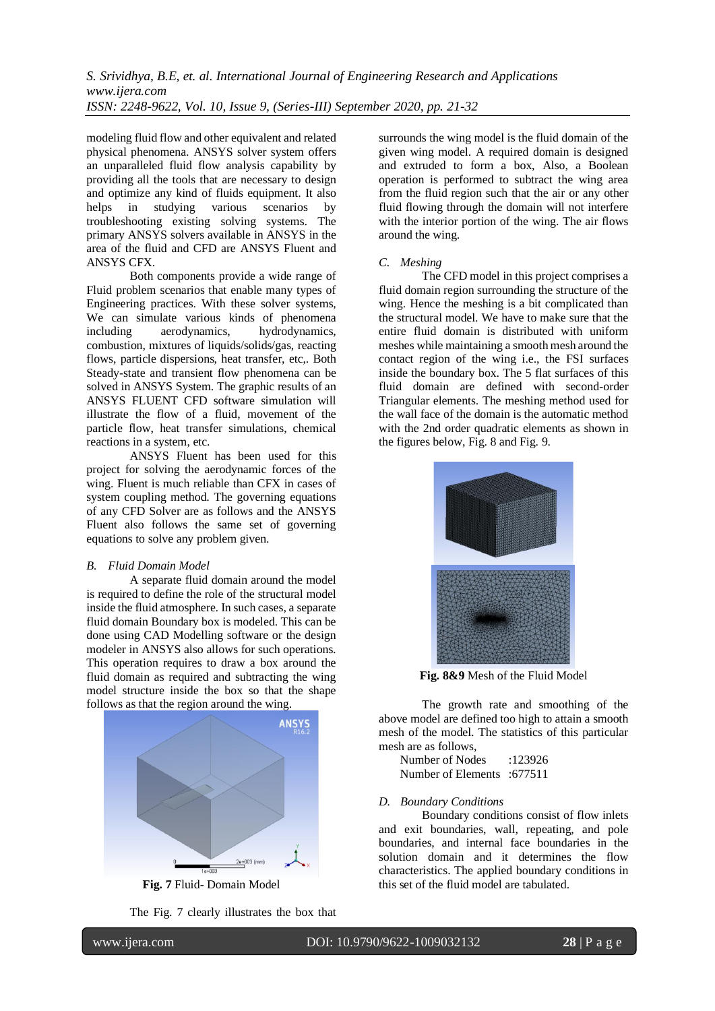modeling fluid flow and other equivalent and related physical phenomena. ANSYS solver system offers an unparalleled fluid flow analysis capability by providing all the tools that are necessary to design and optimize any kind of fluids equipment. It also helps in studying various scenarios by troubleshooting existing solving systems. The primary ANSYS solvers available in ANSYS in the area of the fluid and CFD are ANSYS Fluent and ANSYS CFX.

Both components provide a wide range of Fluid problem scenarios that enable many types of Engineering practices. With these solver systems, We can simulate various kinds of phenomena including aerodynamics, hydrodynamics, combustion, mixtures of liquids/solids/gas, reacting flows, particle dispersions, heat transfer, etc,. Both Steady-state and transient flow phenomena can be solved in ANSYS System. The graphic results of an ANSYS FLUENT CFD software simulation will illustrate the flow of a fluid, movement of the particle flow, heat transfer simulations, chemical reactions in a system, etc.

ANSYS Fluent has been used for this project for solving the aerodynamic forces of the wing. Fluent is much reliable than CFX in cases of system coupling method. The governing equations of any CFD Solver are as follows and the ANSYS Fluent also follows the same set of governing equations to solve any problem given.

#### *B. Fluid Domain Model*

A separate fluid domain around the model is required to define the role of the structural model inside the fluid atmosphere. In such cases, a separate fluid domain Boundary box is modeled. This can be done using CAD Modelling software or the design modeler in ANSYS also allows for such operations. This operation requires to draw a box around the fluid domain as required and subtracting the wing model structure inside the box so that the shape follows as that the region around the wing.



**Fig. 7** Fluid- Domain Model

The Fig. 7 clearly illustrates the box that

surrounds the wing model is the fluid domain of the given wing model. A required domain is designed and extruded to form a box, Also, a Boolean operation is performed to subtract the wing area from the fluid region such that the air or any other fluid flowing through the domain will not interfere with the interior portion of the wing. The air flows around the wing.

## *C. Meshing*

The CFD model in this project comprises a fluid domain region surrounding the structure of the wing. Hence the meshing is a bit complicated than the structural model. We have to make sure that the entire fluid domain is distributed with uniform meshes while maintaining a smooth mesh around the contact region of the wing i.e., the FSI surfaces inside the boundary box. The 5 flat surfaces of this fluid domain are defined with second-order Triangular elements. The meshing method used for the wall face of the domain is the automatic method with the 2nd order quadratic elements as shown in the figures below, Fig. 8 and Fig. 9.



**Fig. 8&9** Mesh of the Fluid Model

The growth rate and smoothing of the above model are defined too high to attain a smooth mesh of the model. The statistics of this particular mesh are as follows,

| Number of Nodes                    | :123926 |
|------------------------------------|---------|
| <b>Number of Elements</b> : 677511 |         |

## *D. Boundary Conditions*

Boundary conditions consist of flow inlets and exit boundaries, wall, repeating, and pole boundaries, and internal face boundaries in the solution domain and it determines the flow characteristics. The applied boundary conditions in this set of the fluid model are tabulated.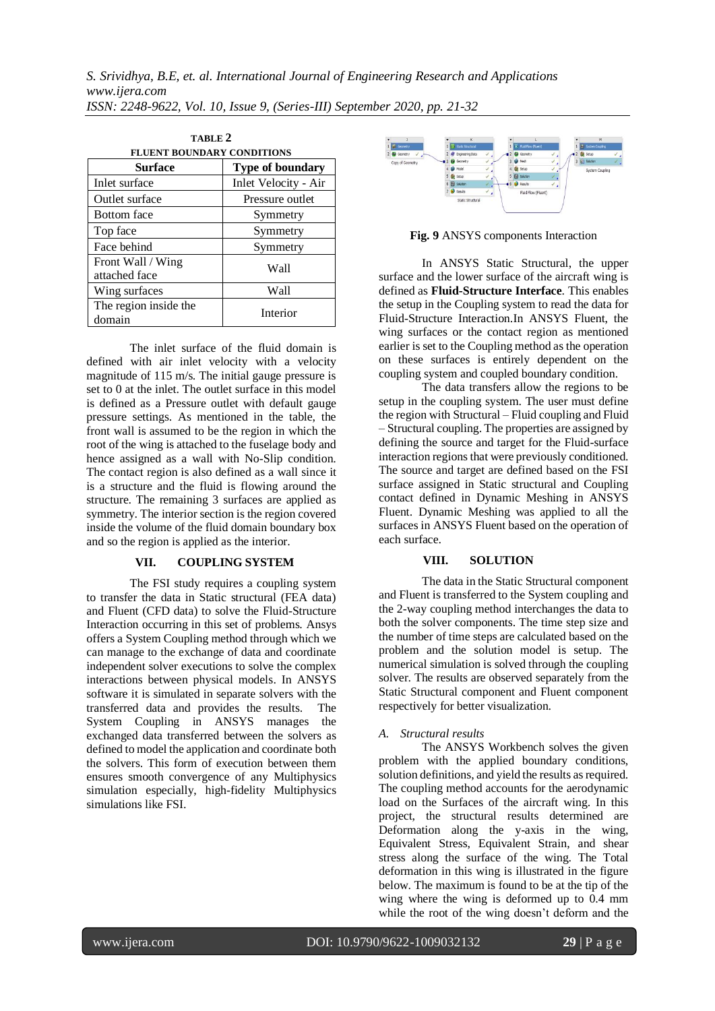| TABLE <sub>2</sub>                 |                         |  |
|------------------------------------|-------------------------|--|
| <b>FLUENT BOUNDARY CONDITIONS</b>  |                         |  |
| <b>Surface</b>                     | <b>Type of boundary</b> |  |
| Inlet surface                      | Inlet Velocity - Air    |  |
| Outlet surface                     | Pressure outlet         |  |
| <b>Bottom</b> face                 | Symmetry                |  |
| Top face                           | Symmetry                |  |
| Face behind                        | Symmetry                |  |
| Front Wall / Wing<br>attached face | Wall                    |  |
| Wing surfaces                      | Wall                    |  |
| The region inside the<br>domain    | Interior                |  |

The inlet surface of the fluid domain is defined with air inlet velocity with a velocity magnitude of 115 m/s. The initial gauge pressure is set to 0 at the inlet. The outlet surface in this model is defined as a Pressure outlet with default gauge pressure settings. As mentioned in the table, the front wall is assumed to be the region in which the root of the wing is attached to the fuselage body and hence assigned as a wall with No-Slip condition. The contact region is also defined as a wall since it is a structure and the fluid is flowing around the structure. The remaining 3 surfaces are applied as symmetry. The interior section is the region covered inside the volume of the fluid domain boundary box and so the region is applied as the interior.

## **VII. COUPLING SYSTEM**

The FSI study requires a coupling system to transfer the data in Static structural (FEA data) and Fluent (CFD data) to solve the Fluid-Structure Interaction occurring in this set of problems. Ansys offers a System Coupling method through which we can manage to the exchange of data and coordinate independent solver executions to solve the complex interactions between physical models. In ANSYS software it is simulated in separate solvers with the transferred data and provides the results. The System Coupling in ANSYS manages the exchanged data transferred between the solvers as defined to model the application and coordinate both the solvers. This form of execution between them ensures smooth convergence of any Multiphysics simulation especially, high-fidelity Multiphysics simulations like FSI.



**Fig. 9** ANSYS components Interaction

In ANSYS Static Structural, the upper surface and the lower surface of the aircraft wing is defined as **Fluid-Structure Interface**. This enables the setup in the Coupling system to read the data for Fluid-Structure Interaction.In ANSYS Fluent, the wing surfaces or the contact region as mentioned earlier is set to the Coupling method as the operation on these surfaces is entirely dependent on the coupling system and coupled boundary condition.

The data transfers allow the regions to be setup in the coupling system. The user must define the region with Structural – Fluid coupling and Fluid – Structural coupling. The properties are assigned by defining the source and target for the Fluid-surface interaction regions that were previously conditioned. The source and target are defined based on the FSI surface assigned in Static structural and Coupling contact defined in Dynamic Meshing in ANSYS Fluent. Dynamic Meshing was applied to all the surfaces in ANSYS Fluent based on the operation of each surface.

#### **VIII. SOLUTION**

The data in the Static Structural component and Fluent is transferred to the System coupling and the 2-way coupling method interchanges the data to both the solver components. The time step size and the number of time steps are calculated based on the problem and the solution model is setup. The numerical simulation is solved through the coupling solver. The results are observed separately from the Static Structural component and Fluent component respectively for better visualization.

## *A. Structural results*

The ANSYS Workbench solves the given problem with the applied boundary conditions, solution definitions, and yield the results as required. The coupling method accounts for the aerodynamic load on the Surfaces of the aircraft wing. In this project, the structural results determined are Deformation along the y-axis in the wing, Equivalent Stress, Equivalent Strain, and shear stress along the surface of the wing. The Total deformation in this wing is illustrated in the figure below. The maximum is found to be at the tip of the wing where the wing is deformed up to 0.4 mm while the root of the wing doesn't deform and the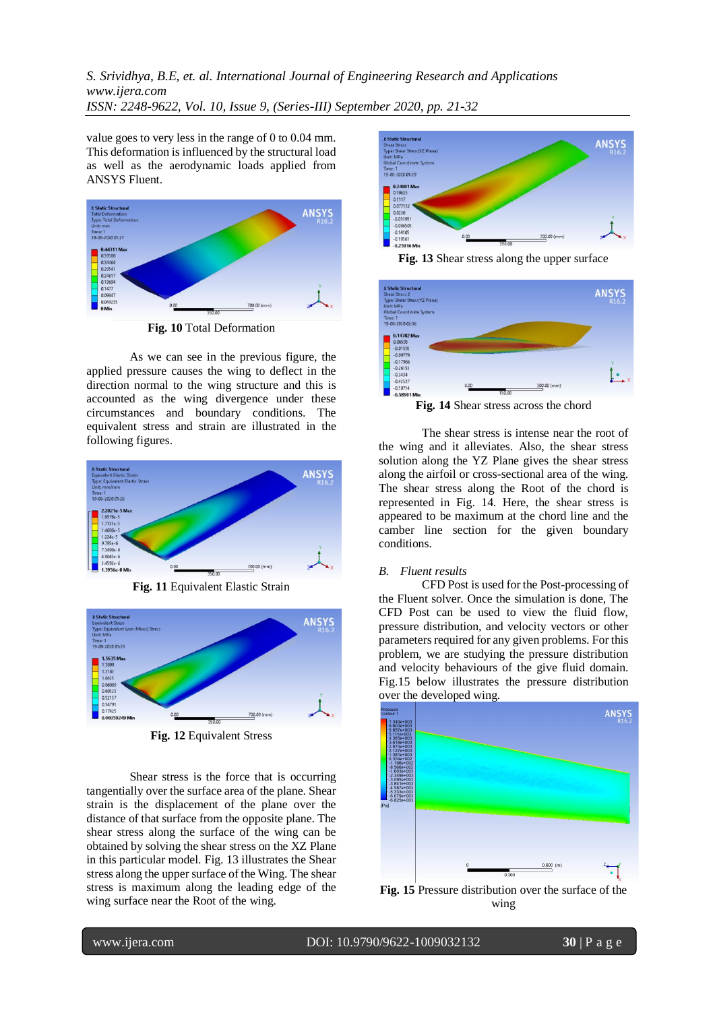value goes to very less in the range of 0 to 0.04 mm. This deformation is influenced by the structural load as well as the aerodynamic loads applied from ANSYS Fluent.



**Fig. 10** Total Deformation

As we can see in the previous figure, the applied pressure causes the wing to deflect in the direction normal to the wing structure and this is accounted as the wing divergence under these circumstances and boundary conditions. The equivalent stress and strain are illustrated in the following figures.



**Fig. 11** Equivalent Elastic Strain



**Fig. 12** Equivalent Stress

Shear stress is the force that is occurring tangentially over the surface area of the plane. Shear strain is the displacement of the plane over the distance of that surface from the opposite plane. The shear stress along the surface of the wing can be obtained by solving the shear stress on the XZ Plane in this particular model. Fig. 13 illustrates the Shear stress along the upper surface of the Wing. The shear stress is maximum along the leading edge of the wing surface near the Root of the wing.



**Fig. 13** Shear stress along the upper surface



**Fig. 14** Shear stress across the chord

The shear stress is intense near the root of the wing and it alleviates. Also, the shear stress solution along the YZ Plane gives the shear stress along the airfoil or cross-sectional area of the wing. The shear stress along the Root of the chord is represented in Fig. 14. Here, the shear stress is appeared to be maximum at the chord line and the camber line section for the given boundary conditions.

### *B. Fluent results*

CFD Post is used for the Post-processing of the Fluent solver. Once the simulation is done, The CFD Post can be used to view the fluid flow, pressure distribution, and velocity vectors or other parameters required for any given problems. For this problem, we are studying the pressure distribution and velocity behaviours of the give fluid domain. Fig.15 below illustrates the pressure distribution over the developed wing.



**Fig. 15** Pressure distribution over the surface of the wing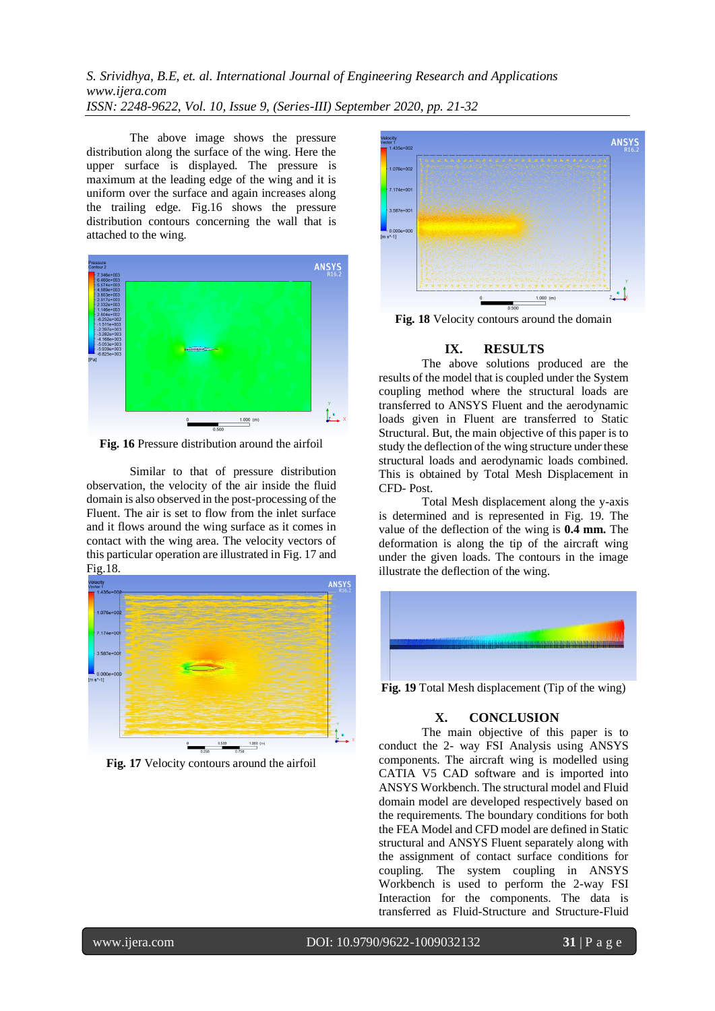The above image shows the pressure distribution along the surface of the wing. Here the upper surface is displayed. The pressure is maximum at the leading edge of the wing and it is uniform over the surface and again increases along the trailing edge. Fig.16 shows the pressure distribution contours concerning the wall that is attached to the wing.



**Fig. 16** Pressure distribution around the airfoil

Similar to that of pressure distribution observation, the velocity of the air inside the fluid domain is also observed in the post-processing of the Fluent. The air is set to flow from the inlet surface and it flows around the wing surface as it comes in contact with the wing area. The velocity vectors of this particular operation are illustrated in Fig. 17 and Fig.18.



**Fig. 17** Velocity contours around the airfoil



**Fig. 18** Velocity contours around the domain

# **IX. RESULTS**

The above solutions produced are the results of the model that is coupled under the System coupling method where the structural loads are transferred to ANSYS Fluent and the aerodynamic loads given in Fluent are transferred to Static Structural. But, the main objective of this paper is to study the deflection of the wing structure under these structural loads and aerodynamic loads combined. This is obtained by Total Mesh Displacement in CFD- Post.

Total Mesh displacement along the y-axis is determined and is represented in Fig. 19. The value of the deflection of the wing is **0.4 mm.** The deformation is along the tip of the aircraft wing under the given loads. The contours in the image illustrate the deflection of the wing.



**Fig. 19** Total Mesh displacement (Tip of the wing)

# **X. CONCLUSION**

The main objective of this paper is to conduct the 2- way FSI Analysis using ANSYS components. The aircraft wing is modelled using CATIA V5 CAD software and is imported into ANSYS Workbench. The structural model and Fluid domain model are developed respectively based on the requirements. The boundary conditions for both the FEA Model and CFD model are defined in Static structural and ANSYS Fluent separately along with the assignment of contact surface conditions for coupling. The system coupling in ANSYS Workbench is used to perform the 2-way FSI Interaction for the components. The data is transferred as Fluid-Structure and Structure-Fluid